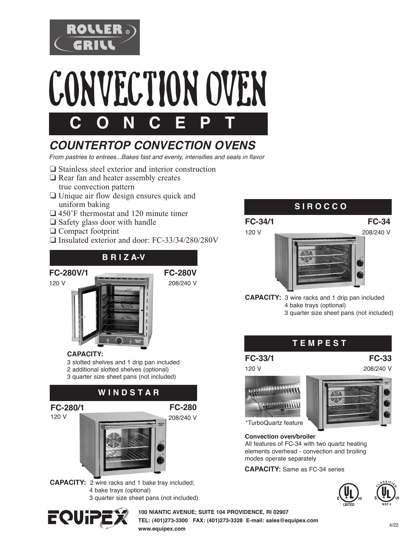



# *COUNTERTOP CONVECTION OVENS*

*From pastries to entrees...Bakes fast and evenly, intensifies and seals in flavor*

- ❑ Stainless steel exterior and interior construction
- ❑ Rear fan and heater assembly creates true convection pattern
- ❑ Unique air flow design ensures quick and uniform baking
- ❑ 450˚F thermostat and 120 minute timer
- ❑ Safety glass door with handle
- ❑ Compact footprint

**CAPACITY:** 

❑ Insulated exterior and door: FC-33/34/280/280V

#### **B R I Z A-V**

#### **FC-280V/1**

120 V

**FC-280/1**  120 V

**FC-280V**  208/240 V

> **FC-280**  208/240 V

# **S I R O C C O**



- 4 bake trays (optional)
	- 3 quarter size sheet pans (not included)

#### **T E M P E S T**

#### **FC-33/1**

120 V





**Convection oven/broiler**

All features of FC-34 with two quartz heating elements overhead - convection and broiling modes operate separately

**CAPACITY:** Same as FC-34 series





**FC-33**  208/240 V

**CAPACITY:** 2 wire racks and 1 bake tray included; 4 bake trays (optional) 3 quarter size sheet pans (not included)

 **W I N D S T A R**

3 slotted shelves and 1 drip pan included 2 additional slotted shelves (optional) 3 quarter size sheet pans (not included)



**100 NIANTIC AVENUE; SUITE 104 PROVIDENCE, RI 02907 TEL: (401)273-3300 FAX: (401)273-3328 E-mail: sales@equipex.com www.equipex.com**